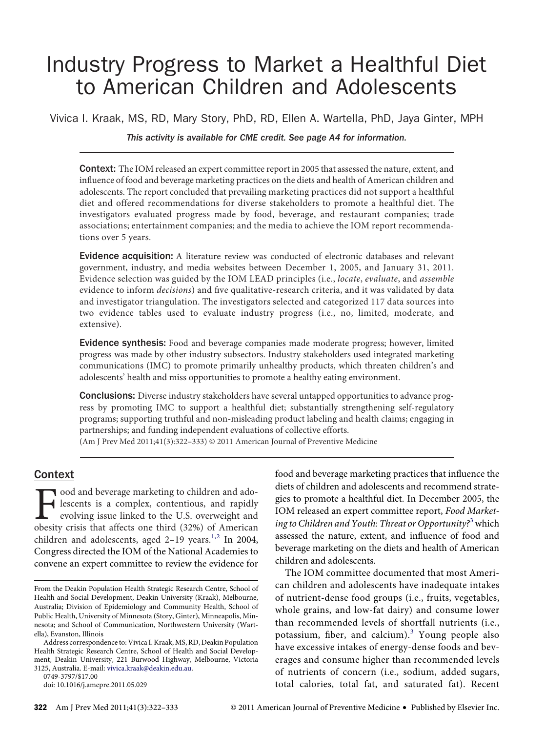# Industry Progress to Market a Healthful Diet to American Children and Adolescents

Vivica I. Kraak, MS, RD, Mary Story, PhD, RD, Ellen A. Wartella, PhD, Jaya Ginter, MPH

*This activity is available for CME credit. See page A4 for information.*

Context: The IOM released an expert committee report in 2005 that assessed the nature, extent, and influence of food and beverage marketing practices on the diets and health of American children and adolescents. The report concluded that prevailing marketing practices did not support a healthful diet and offered recommendations for diverse stakeholders to promote a healthful diet. The investigators evaluated progress made by food, beverage, and restaurant companies; trade associations; entertainment companies; and the media to achieve the IOM report recommendations over 5 years.

**Evidence acquisition:** A literature review was conducted of electronic databases and relevant government, industry, and media websites between December 1, 2005, and January 31, 2011. Evidence selection was guided by the IOM LEAD principles (i.e., *locate*, *evaluate*, and *assemble* evidence to inform *decisions*) and fıve qualitative-research criteria, and it was validated by data and investigator triangulation. The investigators selected and categorized 117 data sources into two evidence tables used to evaluate industry progress (i.e., no, limited, moderate, and extensive).

Evidence synthesis: Food and beverage companies made moderate progress; however, limited progress was made by other industry subsectors. Industry stakeholders used integrated marketing communications (IMC) to promote primarily unhealthy products, which threaten children's and adolescents' health and miss opportunities to promote a healthy eating environment.

Conclusions: Diverse industry stakeholders have several untapped opportunities to advance progress by promoting IMC to support a healthful diet; substantially strengthening self-regulatory programs; supporting truthful and non-misleading product labeling and health claims; engaging in partnerships; and funding independent evaluations of collective efforts.

(Am J Prev Med 2011;41(3):322–333) © 2011 American Journal of Preventive Medicine

# Context

Food and beverage marketing to children and ado-<br>lescents is a complex, contentious, and rapidly<br>evolving issue linked to the U.S. overweight and<br>obesity crisis that affects one third (32%) of American lescents is a complex, contentious, and rapidly evolving issue linked to the U.S. overweight and obesity crisis that affects one third (32%) of American children and adolescents, aged  $2-19$  years.<sup>1,2</sup> In 2004, Congress directed the IOM of the National Academies to convene an expert committee to review the evidence for

0749-3797/\$17.00

diets of children and adolescents and recommend strategies to promote a healthful diet. In December 2005, the IOM released an expert committee report, *Food Marketing to Children and Youth: Threat or Opportunity?*3which assessed the nature, extent, and influence of food and beverage marketing on the diets and health of American children and adolescents.

food and beverage marketing practices that influence the

The IOM committee documented that most American children and adolescents have inadequate intakes of nutrient-dense food groups (i.e., fruits, vegetables, whole grains, and low-fat dairy) and consume lower than recommended levels of shortfall nutrients (i.e., potassium, fiber, and calcium). $3$  Young people also have excessive intakes of energy-dense foods and beverages and consume higher than recommended levels of nutrients of concern (i.e., sodium, added sugars, total calories, total fat, and saturated fat). Recent

From the Deakin Population Health Strategic Research Centre, School of Health and Social Development, Deakin University (Kraak), Melbourne, Australia; Division of Epidemiology and Community Health, School of Public Health, University of Minnesota (Story, Ginter), Minneapolis, Minnesota; and School of Communication, Northwestern University (Wartella), Evanston, Illinois

Address correspondence to: Vivica I. Kraak, MS, RD, Deakin Population Health Strategic Research Centre, School of Health and Social Development, Deakin University, 221 Burwood Highway, Melbourne, Victoria 3125, Australia. E-mail: [vivica.kraak@deakin.edu.au.](mailto:vivica.kraak@deakin.edu.au)

doi: 10.1016/j.amepre.2011.05.029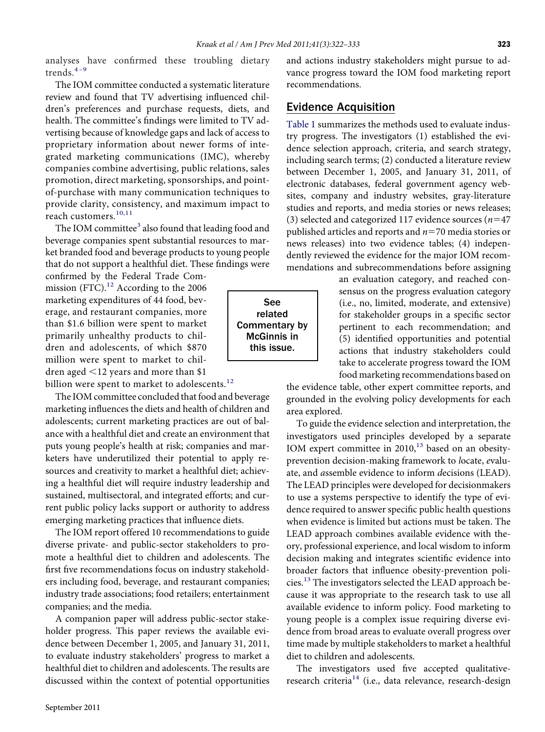analyses have confırmed these troubling dietary trends. $4-9$ 

The IOM committee conducted a systematic literature review and found that TV advertising influenced children's preferences and purchase requests, diets, and health. The committee's fındings were limited to TV advertising because of knowledge gaps and lack of access to proprietary information about newer forms of integrated marketing communications (IMC), whereby companies combine advertising, public relations, sales promotion, direct marketing, sponsorships, and pointof-purchase with many communication techniques to provide clarity, consistency, and maximum impact to reach customers.<sup>10,11</sup>

The IOM committee<sup>3</sup> also found that leading food and beverage companies spent substantial resources to market branded food and beverage products to young people that do not support a healthful diet. These fındings were

confırmed by the Federal Trade Commission (FTC). $^{12}$  According to the 2006 marketing expenditures of 44 food, beverage, and restaurant companies, more than \$1.6 billion were spent to market primarily unhealthy products to children and adolescents, of which \$870 million were spent to market to children aged  $\leq$ 12 years and more than \$1

billion were spent to market to adolescents.<sup>12</sup>

The IOM committee concluded that food and beverage marketing influences the diets and health of children and adolescents; current marketing practices are out of balance with a healthful diet and create an environment that puts young people's health at risk; companies and marketers have underutilized their potential to apply resources and creativity to market a healthful diet; achieving a healthful diet will require industry leadership and sustained, multisectoral, and integrated efforts; and current public policy lacks support or authority to address emerging marketing practices that influence diets.

The IOM report offered 10 recommendations to guide diverse private- and public-sector stakeholders to promote a healthful diet to children and adolescents. The fırst fıve recommendations focus on industry stakeholders including food, beverage, and restaurant companies; industry trade associations; food retailers; entertainment companies; and the media.

A companion paper will address public-sector stakeholder progress. This paper reviews the available evidence between December 1, 2005, and January 31, 2011, to evaluate industry stakeholders' progress to market a healthful diet to children and adolescents. The results are discussed within the context of potential opportunities

and actions industry stakeholders might pursue to advance progress toward the IOM food marketing report recommendations.

#### Evidence Acquisition

Table 1 summarizes the methods used to evaluate industry progress. The investigators (1) established the evidence selection approach, criteria, and search strategy, including search terms; (2) conducted a literature review between December 1, 2005, and January 31, 2011, of electronic databases, federal government agency websites, company and industry websites, gray-literature studies and reports, and media stories or news releases; (3) selected and categorized 117 evidence sources  $(n=47)$ published articles and reports and *n*=70 media stories or news releases) into two evidence tables; (4) independently reviewed the evidence for the major IOM recommendations and subrecommendations before assigning

> an evaluation category, and reached consensus on the progress evaluation category (i.e., no, limited, moderate, and extensive) for stakeholder groups in a specifıc sector pertinent to each recommendation; and (5) identifıed opportunities and potential actions that industry stakeholders could take to accelerate progress toward the IOM food marketing recommendations based on

the evidence table, other expert committee reports, and grounded in the evolving policy developments for each area explored.

To guide the evidence selection and interpretation, the investigators used principles developed by a separate IOM expert committee in 2010,<sup>13</sup> based on an obesityprevention decision-making framework to *l*ocate, *e*valuate, and *a*ssemble evidence to inform *d*ecisions (LEAD). The LEAD principles were developed for decisionmakers to use a systems perspective to identify the type of evidence required to answer specifıc public health questions when evidence is limited but actions must be taken. The LEAD approach combines available evidence with theory, professional experience, and local wisdom to inform decision making and integrates scientifıc evidence into broader factors that influence obesity-prevention policies.<sup>13</sup> The investigators selected the LEAD approach because it was appropriate to the research task to use all available evidence to inform policy. Food marketing to young people is a complex issue requiring diverse evidence from broad areas to evaluate overall progress over time made by multiple stakeholders to market a healthful diet to children and adolescents.

The investigators used fıve accepted qualitativeresearch criteria<sup>14</sup> (i.e., data relevance, research-design

See related Commentary by McGinnis in this issue.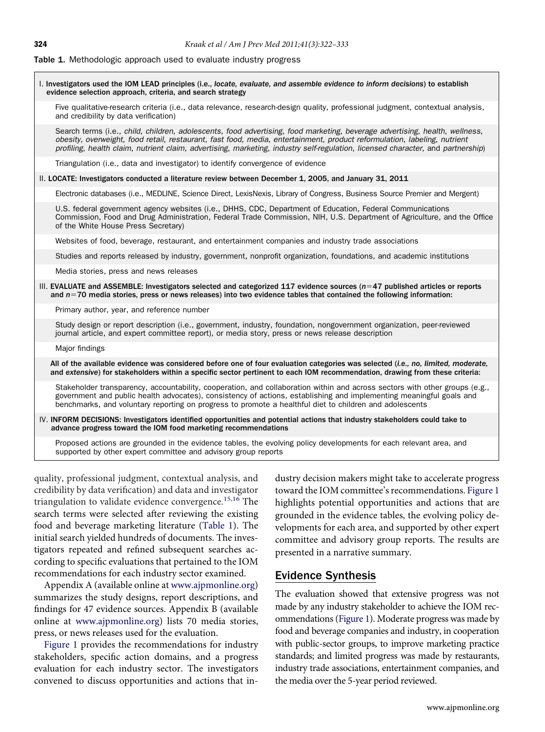#### Table 1. Methodologic approach used to evaluate industry progress

I. Investigators used the IOM LEAD principles (i.e., *locate, evaluate, and assemble evidence to inform decisions*) to establish evidence selection approach, criteria, and search strategy

Five qualitative-research criteria (i.e., data relevance, research-design quality, professional judgment, contextual analysis, and credibility by data verification)

Search terms (i.e., *child*, *children*, *adolescents*, *food advertising*, *food marketing*, *beverage advertising*, *health*, *wellness*, *obesity*, *overweight*, *food retail*, *restaurant*, *fast food*, *media*, *entertainment*, *product reformulation*, *labeling*, *nutrient profiling*, *health claim*, *nutrient claim*, *advertising*, *marketing*, *industry self-regulation*, *licensed character*, and *partnership*)

Triangulation (i.e., data and investigator) to identify convergence of evidence

II. LOCATE: Investigators conducted a literature review between December 1, 2005, and January 31, 2011

Electronic databases (i.e., MEDLINE, Science Direct, LexisNexis, Library of Congress, Business Source Premier and Mergent)

U.S. federal government agency websites (i.e., DHHS, CDC, Department of Education, Federal Communications Commission, Food and Drug Administration, Federal Trade Commission, NIH, U.S. Department of Agriculture, and the Office of the White House Press Secretary)

Websites of food, beverage, restaurant, and entertainment companies and industry trade associations

Studies and reports released by industry, government, nonprofit organization, foundations, and academic institutions

Media stories, press and news releases

III. EVALUATE and ASSEMBLE: Investigators selected and categorized 117 evidence sources (n=47 published articles or reports and n=70 media stories, press or news releases) into two evidence tables that contained the following information:

Primary author, year, and reference number

Study design or report description (i.e., government, industry, foundation, nongovernment organization, peer-reviewed journal article, and expert committee report), or media story, press or news release description

Major findings

All of the available evidence was considered before one of four evaluation categories was selected (*i.e., no, limited, moderate,* and *extensive*) for stakeholders within a specific sector pertinent to each IOM recommendation, drawing from these criteria:

Stakeholder transparency, accountability, cooperation, and collaboration within and across sectors with other groups (e.g., government and public health advocates), consistency of actions, establishing and implementing meaningful goals and benchmarks, and voluntary reporting on progress to promote a healthful diet to children and adolescents

IV. INFORM DECISIONS: Investigators identified opportunities and potential actions that industry stakeholders could take to advance progress toward the IOM food marketing recommendations

Proposed actions are grounded in the evidence tables, the evolving policy developments for each relevant area, and supported by other expert committee and advisory group reports

quality, professional judgment, contextual analysis, and credibility by data verifıcation) and data and investigator triangulation to validate evidence convergence.<sup>15,16</sup> The search terms were selected after reviewing the existing food and beverage marketing literature (Table 1). The initial search yielded hundreds of documents. The investigators repeated and refıned subsequent searches according to specifıc evaluations that pertained to the IOM recommendations for each industry sector examined.

Appendix A (available online at [www.ajpmonline.org\)](http://www.ajpmonline.org) summarizes the study designs, report descriptions, and fındings for 47 evidence sources. Appendix B (available online at [www.ajpmonline.org\)](http://www.ajpmonline.org) lists 70 media stories, press, or news releases used for the evaluation.

Figure 1 provides the recommendations for industry stakeholders, specifıc action domains, and a progress evaluation for each industry sector. The investigators convened to discuss opportunities and actions that in-

dustry decision makers might take to accelerate progress toward the IOM committee's recommendations. Figure 1 highlights potential opportunities and actions that are grounded in the evidence tables, the evolving policy developments for each area, and supported by other expert committee and advisory group reports. The results are presented in a narrative summary.

#### Evidence Synthesis

The evaluation showed that extensive progress was not made by any industry stakeholder to achieve the IOM recommendations (Figure 1). Moderate progress was made by food and beverage companies and industry, in cooperation with public-sector groups, to improve marketing practice standards; and limited progress was made by restaurants, industry trade associations, entertainment companies, and the media over the 5-year period reviewed.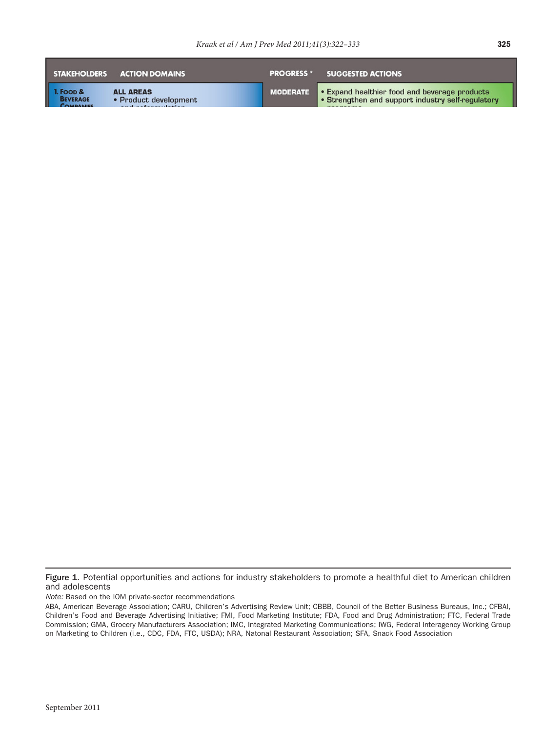*Note:* Based on the IOM private-sector recommendations

Figure 1. Potential opportunities and actions for industry stakeholders to promote a healthful diet to American children and adolescents

ABA, American Beverage Association; CARU, Children's Advertising Review Unit; CBBB, Council of the Better Business Bureaus, Inc.; CFBAI, Children's Food and Beverage Advertising Initiative; FMI, Food Marketing Institute; FDA, Food and Drug Administration; FTC, Federal Trade Commission; GMA, Grocery Manufacturers Association; IMC, Integrated Marketing Communications; IWG, Federal Interagency Working Group on Marketing to Children (i.e., CDC, FDA, FTC, USDA); NRA, Natonal Restaurant Association; SFA, Snack Food Association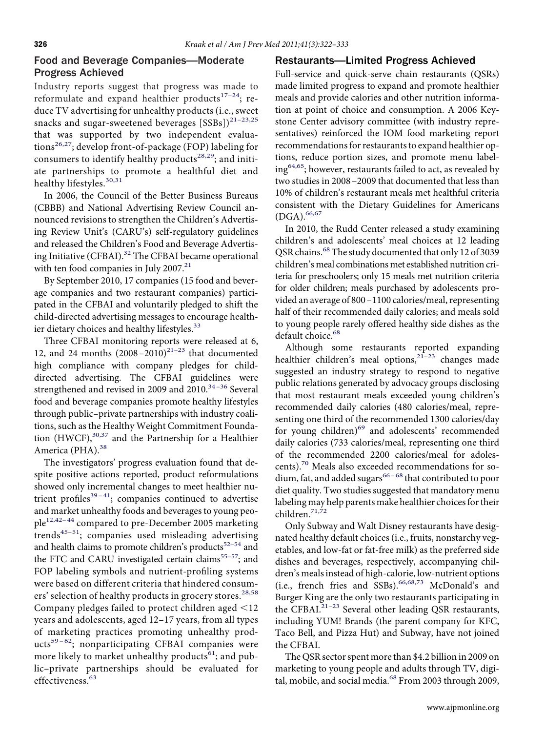#### Food and Beverage Companies—Moderate Progress Achieved

Industry reports suggest that progress was made to reformulate and expand healthier products $17-24$ ; reduce TV advertising for unhealthy products (i.e., sweet snacks and sugar-sweetened beverages  $[SSBs]$ )<sup>21-23,25</sup> that was supported by two independent evaluations<sup>26,27</sup>; develop front-of-package (FOP) labeling for consumers to identify healthy products<sup>28,29</sup>; and initiate partnerships to promote a healthful diet and healthy lifestyles.<sup>30,31</sup>

In 2006, the Council of the Better Business Bureaus (CBBB) and National Advertising Review Council announced revisions to strengthen the Children's Advertising Review Unit's (CARU's) self-regulatory guidelines and released the Children's Food and Beverage Advertising Initiative (CFBAI).<sup>32</sup> The CFBAI became operational with ten food companies in July 2007.<sup>21</sup>

By September 2010, 17 companies (15 food and beverage companies and two restaurant companies) participated in the CFBAI and voluntarily pledged to shift the child-directed advertising messages to encourage healthier dietary choices and healthy lifestyles.<sup>33</sup>

Three CFBAI monitoring reports were released at 6, 12, and 24 months  $(2008-2010)^{21-23}$  that documented high compliance with company pledges for childdirected advertising. The CFBAI guidelines were strengthened and revised in 2009 and 2010.<sup>34-36</sup> Several food and beverage companies promote healthy lifestyles through public–private partnerships with industry coalitions, such as the Healthy Weight Commitment Foundation (HWCF),<sup>30,37</sup> and the Partnership for a Healthier America (PHA).<sup>38</sup>

The investigators' progress evaluation found that despite positive actions reported, product reformulations showed only incremental changes to meet healthier nutrient profiles<sup>39-41</sup>; companies continued to advertise and market unhealthy foods and beverages to young peo $ple<sup>12,42-44</sup>$  compared to pre-December 2005 marketing trends<sup>45–51</sup>; companies used misleading advertising and health claims to promote children's products<sup>52-54</sup> and the FTC and CARU investigated certain claims $55-57$ ; and FOP labeling symbols and nutrient-profiling systems were based on different criteria that hindered consumers' selection of healthy products in grocery stores.<sup>28,58</sup> Company pledges failed to protect children aged  $\leq$ 12 years and adolescents, aged 12–17 years, from all types of marketing practices promoting unhealthy products<sup>59-62</sup>; nonparticipating CFBAI companies were more likely to market unhealthy products<sup>61</sup>; and public–private partnerships should be evaluated for effectiveness.<sup>63</sup>

#### Restaurants—Limited Progress Achieved

Full-service and quick-serve chain restaurants (QSRs) made limited progress to expand and promote healthier meals and provide calories and other nutrition information at point of choice and consumption. A 2006 Keystone Center advisory committee (with industry representatives) reinforced the IOM food marketing report recommendations for restaurants to expand healthier options, reduce portion sizes, and promote menu label $ing<sup>64,65</sup>$ ; however, restaurants failed to act, as revealed by two studies in 2008 –2009 that documented that less than 10% of children's restaurant meals met healthful criteria consistent with the Dietary Guidelines for Americans  $(DGA).$ <sup>66,67</sup>

In 2010, the Rudd Center released a study examining children's and adolescents' meal choices at 12 leading QSR chains.<sup>68</sup> The study documented that only 12 of 3039 children's meal combinations met established nutrition criteria for preschoolers; only 15 meals met nutrition criteria for older children; meals purchased by adolescents provided an average of 800 –1100 calories/meal, representing half of their recommended daily calories; and meals sold to young people rarely offered healthy side dishes as the default choice.<sup>68</sup>

Although some restaurants reported expanding healthier children's meal options,  $2^{1-23}$  changes made suggested an industry strategy to respond to negative public relations generated by advocacy groups disclosing that most restaurant meals exceeded young children's recommended daily calories (480 calories/meal, representing one third of the recommended 1300 calories/day for young children)<sup>69</sup> and adolescents' recommended daily calories (733 calories/meal, representing one third of the recommended 2200 calories/meal for adolescents).<sup>70</sup> Meals also exceeded recommendations for sodium, fat, and added sugars<sup>66-68</sup> that contributed to poor diet quality. Two studies suggested that mandatory menu labeling may help parents make healthier choices for their children.<sup>71,72</sup>

Only Subway and Walt Disney restaurants have designated healthy default choices (i.e., fruits, nonstarchy vegetables, and low-fat or fat-free milk) as the preferred side dishes and beverages, respectively, accompanying children's meals instead of high-calorie, low-nutrient options (i.e., french fries and SSBs). $66,68,73$  McDonald's and Burger King are the only two restaurants participating in the CFBAI. $^{21-23}$  Several other leading QSR restaurants, including YUM! Brands (the parent company for KFC, Taco Bell, and Pizza Hut) and Subway, have not joined the CFBAI.

The QSR sector spent more than \$4.2 billion in 2009 on marketing to young people and adults through TV, digital, mobile, and social media.<sup>68</sup> From 2003 through 2009,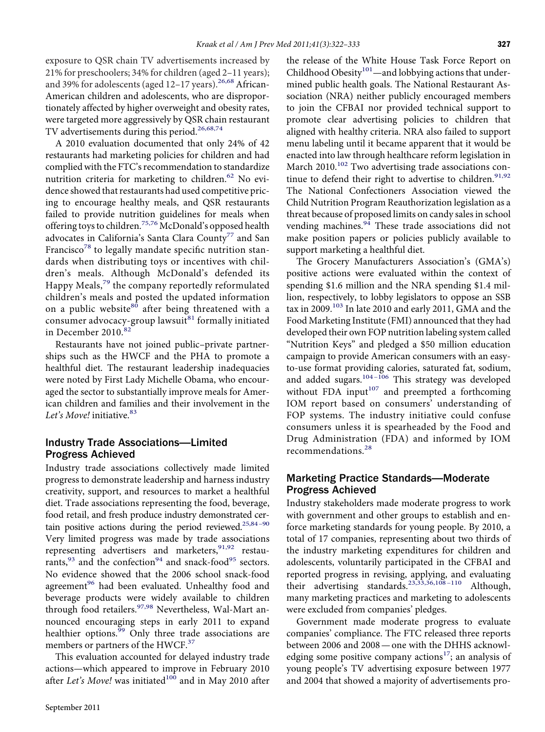exposure to QSR chain TV advertisements increased by 21% for preschoolers; 34% for children (aged 2–11 years); and 39% for adolescents (aged  $12-17$  years).<sup>26,68</sup> African-American children and adolescents, who are disproportionately affected by higher overweight and obesity rates, were targeted more aggressively by QSR chain restaurant TV advertisements during this period.<sup>26,68,74</sup>

A 2010 evaluation documented that only 24% of 42 restaurants had marketing policies for children and had complied with the FTC's recommendation to standardize nutrition criteria for marketing to children.<sup>62</sup> No evidence showed that restaurants had used competitive pricing to encourage healthy meals, and QSR restaurants failed to provide nutrition guidelines for meals when offering toys to children.<sup>75,76</sup> McDonald's opposed health advocates in California's Santa Clara County<sup>77</sup> and San Francisco<sup>78</sup> to legally mandate specific nutrition standards when distributing toys or incentives with children's meals. Although McDonald's defended its Happy Meals,<sup>79</sup> the company reportedly reformulated children's meals and posted the updated information on a public website<sup>80</sup> after being threatened with a consumer advocacy-group lawsuit<sup>81</sup> formally initiated in December  $2010<sup>8</sup>$ 

Restaurants have not joined public–private partnerships such as the HWCF and the PHA to promote a healthful diet. The restaurant leadership inadequacies were noted by First Lady Michelle Obama, who encouraged the sector to substantially improve meals for American children and families and their involvement in the Let's Move! initiative.<sup>83</sup>

## Industry Trade Associations—Limited Progress Achieved

Industry trade associations collectively made limited progress to demonstrate leadership and harness industry creativity, support, and resources to market a healthful diet. Trade associations representing the food, beverage, food retail, and fresh produce industry demonstrated certain positive actions during the period reviewed.<sup>25,84-90</sup> Very limited progress was made by trade associations representing advertisers and marketers, <sup>91,92</sup> restaurants,  $93$  and the confection  $94$  and snack-food  $95$  sectors. No evidence showed that the 2006 school snack-food agreement<sup>96</sup> had been evaluated. Unhealthy food and beverage products were widely available to children through food retailers.<sup>97,98</sup> Nevertheless, Wal-Mart announced encouraging steps in early 2011 to expand healthier options.<sup>99</sup> Only three trade associations are members or partners of the HWCF.<sup>37</sup>

This evaluation accounted for delayed industry trade actions—which appeared to improve in February 2010 after *Let's Move!* was initiated<sup>100</sup> and in May 2010 after the release of the White House Task Force Report on Childhood Obesity<sup>101</sup>—and lobbying actions that undermined public health goals. The National Restaurant Association (NRA) neither publicly encouraged members to join the CFBAI nor provided technical support to promote clear advertising policies to children that aligned with healthy criteria. NRA also failed to support menu labeling until it became apparent that it would be enacted into law through healthcare reform legislation in March 2010.<sup>102</sup> Two advertising trade associations continue to defend their right to advertise to children.<sup>91,92</sup> The National Confectioners Association viewed the Child Nutrition Program Reauthorization legislation as a threat because of proposed limits on candy sales in school vending machines.<sup>94</sup> These trade associations did not make position papers or policies publicly available to support marketing a healthful diet.

The Grocery Manufacturers Association's (GMA's) positive actions were evaluated within the context of spending \$1.6 million and the NRA spending \$1.4 million, respectively, to lobby legislators to oppose an SSB tax in 2009.<sup>103</sup> In late 2010 and early 2011, GMA and the Food Marketing Institute (FMI) announced that they had developed their own FOP nutrition labeling system called "Nutrition Keys" and pledged a \$50 million education campaign to provide American consumers with an easyto-use format providing calories, saturated fat, sodium, and added sugars.<sup>104-106</sup> This strategy was developed without FDA input<sup>107</sup> and preempted a forthcoming IOM report based on consumers' understanding of FOP systems. The industry initiative could confuse consumers unless it is spearheaded by the Food and Drug Administration (FDA) and informed by IOM recommendations.<sup>28</sup>

## Marketing Practice Standards—Moderate Progress Achieved

Industry stakeholders made moderate progress to work with government and other groups to establish and enforce marketing standards for young people. By 2010, a total of 17 companies, representing about two thirds of the industry marketing expenditures for children and adolescents, voluntarily participated in the CFBAI and reported progress in revising, applying, and evaluating their advertising standards.23,33,36,108 –110 Although, many marketing practices and marketing to adolescents were excluded from companies' pledges.

Government made moderate progress to evaluate companies' compliance. The FTC released three reports between 2006 and 2008— one with the DHHS acknowledging some positive company actions<sup>17</sup>; an analysis of young people's TV advertising exposure between 1977 and 2004 that showed a majority of advertisements pro-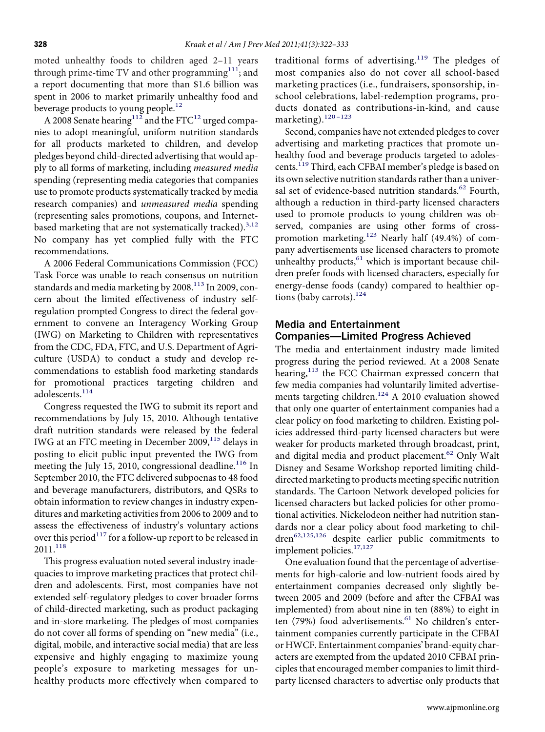moted unhealthy foods to children aged 2–11 years through prime-time TV and other programming $111$ ; and a report documenting that more than \$1.6 billion was spent in 2006 to market primarily unhealthy food and beverage products to young people. $12$ 

A 2008 Senate hearing<sup>112</sup> and the FTC<sup>12</sup> urged companies to adopt meaningful, uniform nutrition standards for all products marketed to children, and develop pledges beyond child-directed advertising that would apply to all forms of marketing, including *measured media* spending (representing media categories that companies use to promote products systematically tracked by media research companies) and *unmeasured media* spending (representing sales promotions, coupons, and Internetbased marketing that are not systematically tracked).<sup>3,12</sup> No company has yet complied fully with the FTC recommendations.

A 2006 Federal Communications Commission (FCC) Task Force was unable to reach consensus on nutrition standards and media marketing by 2008.<sup>113</sup> In 2009, concern about the limited effectiveness of industry selfregulation prompted Congress to direct the federal government to convene an Interagency Working Group (IWG) on Marketing to Children with representatives from the CDC, FDA, FTC, and U.S. Department of Agriculture (USDA) to conduct a study and develop recommendations to establish food marketing standards for promotional practices targeting children and adolescents.<sup>114</sup>

Congress requested the IWG to submit its report and recommendations by July 15, 2010. Although tentative draft nutrition standards were released by the federal IWG at an FTC meeting in December 2009,<sup>115</sup> delays in posting to elicit public input prevented the IWG from meeting the July 15, 2010, congressional deadline.<sup>116</sup> In September 2010, the FTC delivered subpoenas to 48 food and beverage manufacturers, distributors, and QSRs to obtain information to review changes in industry expenditures and marketing activities from 2006 to 2009 and to assess the effectiveness of industry's voluntary actions over this period<sup>117</sup> for a follow-up report to be released in 2011.<sup>118</sup>

This progress evaluation noted several industry inadequacies to improve marketing practices that protect children and adolescents. First, most companies have not extended self-regulatory pledges to cover broader forms of child-directed marketing, such as product packaging and in-store marketing. The pledges of most companies do not cover all forms of spending on "new media" (i.e., digital, mobile, and interactive social media) that are less expensive and highly engaging to maximize young people's exposure to marketing messages for unhealthy products more effectively when compared to

traditional forms of advertising.<sup>119</sup> The pledges of most companies also do not cover all school-based marketing practices (i.e., fundraisers, sponsorship, inschool celebrations, label-redemption programs, products donated as contributions-in-kind, and cause marketing).<sup>120-123</sup>

Second, companies have not extended pledges to cover advertising and marketing practices that promote unhealthy food and beverage products targeted to adolescents.<sup>119</sup> Third, each CFBAI member's pledge is based on its own selective nutrition standards rather than a universal set of evidence-based nutrition standards.<sup>62</sup> Fourth, although a reduction in third-party licensed characters used to promote products to young children was observed, companies are using other forms of crosspromotion marketing.<sup>123</sup> Nearly half (49.4%) of company advertisements use licensed characters to promote unhealthy products, $61$  which is important because children prefer foods with licensed characters, especially for energy-dense foods (candy) compared to healthier options (baby carrots).<sup>124</sup>

#### Media and Entertainment Companies—Limited Progress Achieved

The media and entertainment industry made limited progress during the period reviewed. At a 2008 Senate hearing, $113$  the FCC Chairman expressed concern that few media companies had voluntarily limited advertisements targeting children.<sup>124</sup> A 2010 evaluation showed that only one quarter of entertainment companies had a clear policy on food marketing to children. Existing policies addressed third-party licensed characters but were weaker for products marketed through broadcast, print, and digital media and product placement.<sup>62</sup> Only Walt Disney and Sesame Workshop reported limiting childdirected marketing to products meeting specifıc nutrition standards. The Cartoon Network developed policies for licensed characters but lacked policies for other promotional activities. Nickelodeon neither had nutrition standards nor a clear policy about food marketing to children<sup>62,125,126</sup> despite earlier public commitments to implement policies.<sup>17,127</sup>

One evaluation found that the percentage of advertisements for high-calorie and low-nutrient foods aired by entertainment companies decreased only slightly between 2005 and 2009 (before and after the CFBAI was implemented) from about nine in ten (88%) to eight in ten (79%) food advertisements.<sup>61</sup> No children's entertainment companies currently participate in the CFBAI or HWCF. Entertainment companies' brand-equity characters are exempted from the updated 2010 CFBAI principles that encouraged member companies to limit thirdparty licensed characters to advertise only products that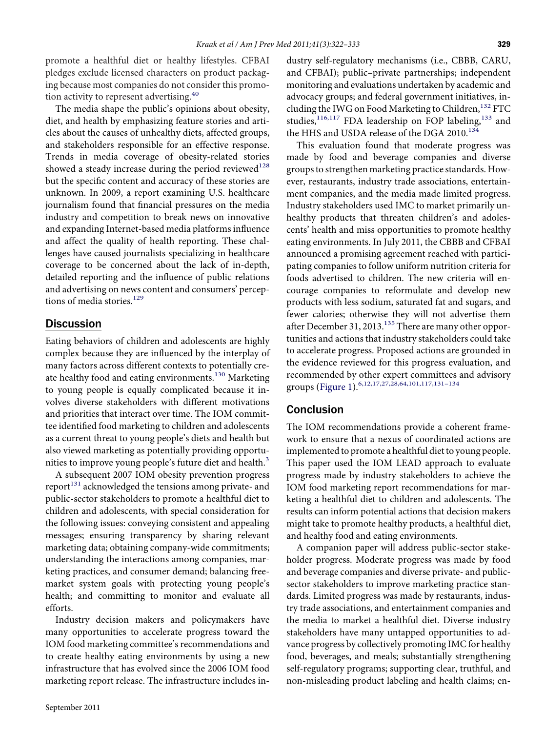promote a healthful diet or healthy lifestyles. CFBAI pledges exclude licensed characters on product packaging because most companies do not consider this promotion activity to represent advertising.<sup>40</sup>

The media shape the public's opinions about obesity, diet, and health by emphasizing feature stories and articles about the causes of unhealthy diets, affected groups, and stakeholders responsible for an effective response. Trends in media coverage of obesity-related stories showed a steady increase during the period reviewed<sup>128</sup> but the specifıc content and accuracy of these stories are unknown. In 2009, a report examining U.S. healthcare journalism found that fınancial pressures on the media industry and competition to break news on innovative and expanding Internet-based media platforms influence and affect the quality of health reporting. These challenges have caused journalists specializing in healthcare coverage to be concerned about the lack of in-depth, detailed reporting and the influence of public relations and advertising on news content and consumers' perceptions of media stories.<sup>129</sup>

## Discussion

Eating behaviors of children and adolescents are highly complex because they are influenced by the interplay of many factors across different contexts to potentially create healthy food and eating environments.<sup>130</sup> Marketing to young people is equally complicated because it involves diverse stakeholders with different motivations and priorities that interact over time. The IOM committee identifıed food marketing to children and adolescents as a current threat to young people's diets and health but also viewed marketing as potentially providing opportunities to improve young people's future diet and health.<sup>3</sup>

A subsequent 2007 IOM obesity prevention progress report<sup>131</sup> acknowledged the tensions among private- and public-sector stakeholders to promote a healthful diet to children and adolescents, with special consideration for the following issues: conveying consistent and appealing messages; ensuring transparency by sharing relevant marketing data; obtaining company-wide commitments; understanding the interactions among companies, marketing practices, and consumer demand; balancing freemarket system goals with protecting young people's health; and committing to monitor and evaluate all efforts.

Industry decision makers and policymakers have many opportunities to accelerate progress toward the IOM food marketing committee's recommendations and to create healthy eating environments by using a new infrastructure that has evolved since the 2006 IOM food marketing report release. The infrastructure includes in-

dustry self-regulatory mechanisms (i.e., CBBB, CARU, and CFBAI); public–private partnerships; independent monitoring and evaluations undertaken by academic and advocacy groups; and federal government initiatives, including the IWG on Food Marketing to Children,<sup>132</sup> FTC studies,<sup>116,117</sup> FDA leadership on FOP labeling,<sup>133</sup> and the HHS and USDA release of the DGA 2010.<sup>134</sup>

This evaluation found that moderate progress was made by food and beverage companies and diverse groups to strengthen marketing practice standards. However, restaurants, industry trade associations, entertainment companies, and the media made limited progress. Industry stakeholders used IMC to market primarily unhealthy products that threaten children's and adolescents' health and miss opportunities to promote healthy eating environments. In July 2011, the CBBB and CFBAI announced a promising agreement reached with participating companies to follow uniform nutrition criteria for foods advertised to children. The new criteria will encourage companies to reformulate and develop new products with less sodium, saturated fat and sugars, and fewer calories; otherwise they will not advertise them after December 31, 2013.<sup>135</sup> There are many other opportunities and actions that industry stakeholders could take to accelerate progress. Proposed actions are grounded in the evidence reviewed for this progress evaluation, and recommended by other expert committees and advisory groups (Figure 1). <sup>6,12,17,27,28,64,101,117,131–134</sup>

# Conclusion

The IOM recommendations provide a coherent framework to ensure that a nexus of coordinated actions are implemented to promote a healthful diet to young people. This paper used the IOM LEAD approach to evaluate progress made by industry stakeholders to achieve the IOM food marketing report recommendations for marketing a healthful diet to children and adolescents. The results can inform potential actions that decision makers might take to promote healthy products, a healthful diet, and healthy food and eating environments.

A companion paper will address public-sector stakeholder progress. Moderate progress was made by food and beverage companies and diverse private- and publicsector stakeholders to improve marketing practice standards. Limited progress was made by restaurants, industry trade associations, and entertainment companies and the media to market a healthful diet. Diverse industry stakeholders have many untapped opportunities to advance progress by collectively promoting IMC for healthy food, beverages, and meals; substantially strengthening self-regulatory programs; supporting clear, truthful, and non-misleading product labeling and health claims; en-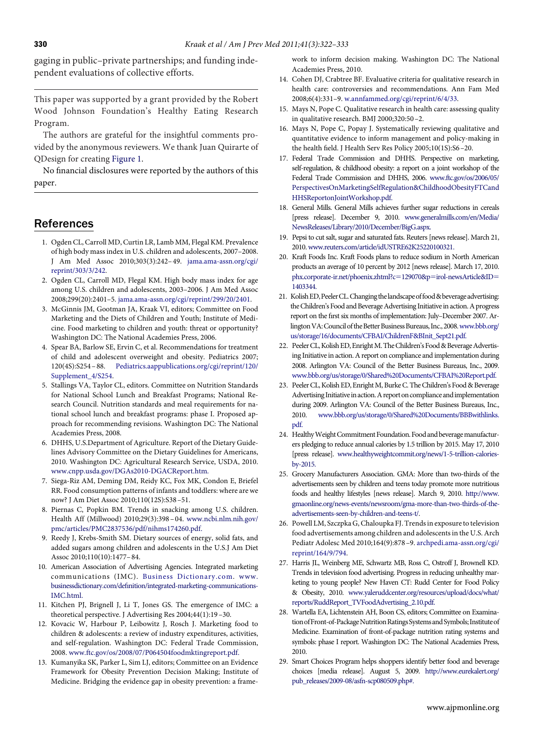gaging in public–private partnerships; and funding independent evaluations of collective efforts.

This paper was supported by a grant provided by the Robert Wood Johnson Foundation's Healthy Eating Research Program.

The authors are grateful for the insightful comments provided by the anonymous reviewers. We thank Juan Quirarte of QDesign for creating Figure 1.

No fınancial disclosures were reported by the authors of this paper.

# References

- 1. Ogden CL, Carroll MD, Curtin LR, Lamb MM, Flegal KM. Prevalence of high body mass index in U.S. children and adolescents, 2007–2008. J Am Med Assoc 2010;303(3):242– 49. [jama.ama-assn.org/cgi/](http://jama.ama-assn.org/cgi/reprint/303/3/242) [reprint/303/3/242.](http://jama.ama-assn.org/cgi/reprint/303/3/242)
- 2. Ogden CL, Carroll MD, Flegal KM. High body mass index for age among U.S. children and adolescents, 2003–2006. J Am Med Assoc 2008;299(20):2401–5. [jama.ama-assn.org/cgi/reprint/299/20/2401.](http://jama.ama-assn.org/cgi/reprint/299/20/2401)
- 3. McGinnis JM, Gootman JA, Kraak VI, editors; Committee on Food Marketing and the Diets of Children and Youth; Institute of Medicine. Food marketing to children and youth: threat or opportunity? Washington DC: The National Academies Press, 2006.
- 4. Spear BA, Barlow SE, Ervin C, et al. Recommendations for treatment of child and adolescent overweight and obesity. Pediatrics 2007; 120(4S):S254 – 88. [Pediatrics.aappublications.org/cgi/reprint/120/](http://Pediatrics.aappublications.org/cgi/reprint/120/Supplement_4/S254) Supplement  $4/$ S254.
- 5. Stallings VA, Taylor CL, editors. Committee on Nutrition Standards for National School Lunch and Breakfast Programs; National Research Council. Nutrition standards and meal requirements for national school lunch and breakfast programs: phase I. Proposed approach for recommending revisions. Washington DC: The National Academies Press, 2008.
- 6. DHHS, U.S.Department of Agriculture. Report of the Dietary Guidelines Advisory Committee on the Dietary Guidelines for Americans, 2010. Washington DC: Agricultural Research Service, USDA, 2010. [www.cnpp.usda.gov/DGAs2010-DGACReport.htm.](http://www.cnpp.usda.gov/DGAs2010-DGACReport.htm)
- 7. Siega-Riz AM, Deming DM, Reidy KC, Fox MK, Condon E, Briefel RR. Food consumption patterns of infants and toddlers: where are we now? J Am Diet Assoc 2010;110(12S):S38 –51.
- 8. Piernas C, Popkin BM. Trends in snacking among U.S. children. Health Aff (Millwood) 2010;29(3):398 – 04. [www.ncbi.nlm.nih.gov/](http://www.ncbi.nlm.nih.gov/pmc/articles/PMC2837536/pdf/nihms174260.pdf) [pmc/articles/PMC2837536/pdf/nihms174260.pdf.](http://www.ncbi.nlm.nih.gov/pmc/articles/PMC2837536/pdf/nihms174260.pdf)
- 9. Reedy J, Krebs-Smith SM. Dietary sources of energy, solid fats, and added sugars among children and adolescents in the U.S.J Am Diet Assoc 2010;110(10):1477– 84.
- 10. American Association of Advertising Agencies. Integrated marketing communications (IMC). [Business Dictionary.com.](http://Business Dictionary.com) [www.](http://www.businessdictionary.com/definition/integrated-marketing-communications-IMC.html) [businessdictionary.com/defınition/integrated-marketing-communications-](http://www.businessdictionary.com/definition/integrated-marketing-communications-IMC.html)[IMC.html.](http://www.businessdictionary.com/definition/integrated-marketing-communications-IMC.html)
- 11. Kitchen PJ, Brignell J, Li T, Jones GS. The emergence of IMC: a theoretical perspective. J Advertising Res 2004;44(1):19 –30.
- 12. Kovacic W, Harbour P, Leibowitz J, Rosch J. Marketing food to children & adolescents: a review of industry expenditures, activities, and self-regulation. Washington DC: Federal Trade Commission, 2008. [www.ftc.gov/os/2008/07/P064504foodmktingreport.pdf.](http://www.ftc.gov/os/2008/07/P064504foodmktingreport.pdf)
- 13. Kumanyika SK, Parker L, Sim LJ, editors; Committee on an Evidence Framework for Obesity Prevention Decision Making; Institute of Medicine. Bridging the evidence gap in obesity prevention: a frame-

work to inform decision making. Washington DC: The National Academies Press, 2010.

- 14. Cohen DJ, Crabtree BF. Evaluative criteria for qualitative research in health care: controversies and recommendations. Ann Fam Med 2008;6(4):331–9. [w.annfammed.org/cgi/reprint/6/4/33.](http://w.annfammed.org/cgi/reprint/6/4/33)
- 15. Mays N, Pope C. Qualitative research in health care: assessing quality in qualitative research. BMJ 2000;320:50 –2.
- 16. Mays N, Pope C, Popay J. Systematically reviewing qualitative and quantitative evidence to inform management and policy-making in the health fıeld. J Health Serv Res Policy 2005;10(1S):S6 –20.
- 17. Federal Trade Commission and DHHS. Perspective on marketing, self-regulation, & childhood obesity: a report on a joint workshop of the Federal Trade Commission and DHHS, 2006. [www.ftc.gov/os/2006/05/](http://www.ftc.gov/os/2006/05/PerspectivesOnMarketingSelfRegulation%26ChildhoodObesityFTCandHHSReportonJointWorkshop.pdf) [PerspectivesOnMarketingSelfRegulation&ChildhoodObesityFTCand](http://www.ftc.gov/os/2006/05/PerspectivesOnMarketingSelfRegulation%26ChildhoodObesityFTCandHHSReportonJointWorkshop.pdf) [HHSReportonJointWorkshop.pdf.](http://www.ftc.gov/os/2006/05/PerspectivesOnMarketingSelfRegulation%26ChildhoodObesityFTCandHHSReportonJointWorkshop.pdf)
- 18. General Mills. General Mills achieves further sugar reductions in cereals [press release]. December 9, 2010. [www.generalmills.com/en/Media/](http://www.generalmills.com/en/Media/NewsReleases/Library/2010/December/BigG.aspx) [NewsReleases/Library/2010/December/BigG.aspx.](http://www.generalmills.com/en/Media/NewsReleases/Library/2010/December/BigG.aspx)
- 19. Pepsi to cut salt, sugar and saturated fats. Reuters [news release]. March 21, 2010.[www.reuters.com/article/idUSTRE62K25220100321.](http://www.reuters.com/article/idUSTRE62K25220100321)
- 20. Kraft Foods Inc. Kraft Foods plans to reduce sodium in North American products an average of 10 percent by 2012 [news release]. March 17, 2010. [phx.corporate-ir.net/phoenix.zhtml?c](http://phx.corporate-ir.net/phoenix.zhtml?c=129070%26p=irol-newsArticle%26ID=1403344)=129070&p=irol-newsArticle&ID= [1403344.](http://phx.corporate-ir.net/phoenix.zhtml?c=129070%26p=irol-newsArticle%26ID=1403344)
- 21. Kolish ED, Peeler CL. Changing the landscape of food & beverage advertising: the Children's Food and Beverage Advertising Initiative in action. A progress report on the fırst six months of implementation: July–December 2007. Arlington VA: Council of the Better Business Bureaus, Inc., 2008. [www.bbb.org/](http://www.bbb.org/us/storage/16/documents/CFBAI/ChildrenF&BInit_Sept21.pdf) [us/storage/16/documents/CFBAI/ChildrenF&BInit\\_Sept21.pdf.](http://www.bbb.org/us/storage/16/documents/CFBAI/ChildrenF&BInit_Sept21.pdf)
- 22. Peeler CL, Kolish ED, Enright M. The Children's Food & Beverage Advertising Initiative in action. A report on compliance and implementation during 2008. Arlington VA: Council of the Better Business Bureaus, Inc., 2009. [www.bbb.org/us/storage/0/Shared%20Documents/CFBAI%20Report.pdf.](http://www.bbb.org/us/storage/0/Shared%20Documents/CFBAI%20Report.pdf)
- 23. Peeler CL, Kolish ED, Enright M, Burke C. The Children's Food & Beverage Advertising Initiative in action. A report on compliance and implementation during 2009. Arlington VA: Council of the Better Business Bureaus, Inc., 2010. [www.bbb.org/us/storage/0/Shared%20Documents/BBBwithlinks.](http://www.bbb.org/us/storage/0/Shared%20Documents/BBBwithlinks.pdf) [pdf.](http://www.bbb.org/us/storage/0/Shared%20Documents/BBBwithlinks.pdf)
- 24. Healthy Weight Commitment Foundation. Food and beverage manufacturers pledging to reduce annual calories by 1.5 trillion by 2015. May 17, 2010 [press release]. [www.healthyweightcommit.org/news/1-5-trillion-calories](http://www.healthyweightcommit.org/news/1-5-trillion-calories-by-2015)[by-2015.](http://www.healthyweightcommit.org/news/1-5-trillion-calories-by-2015)
- 25. Grocery Manufacturers Association. GMA: More than two-thirds of the advertisements seen by children and teens today promote more nutritious foods and healthy lifestyles [news release]. March 9, 2010. [http://www.](http://www.gmaonline.org/news-events/newsroom/gma-more-than-two-thirds-of-the-advertisements-seen-by-children-and-teens-t/) [gmaonline.org/news-events/newsroom/gma-more-than-two-thirds-of-the](http://www.gmaonline.org/news-events/newsroom/gma-more-than-two-thirds-of-the-advertisements-seen-by-children-and-teens-t/)[advertisements-seen-by-children-and-teens-t/.](http://www.gmaonline.org/news-events/newsroom/gma-more-than-two-thirds-of-the-advertisements-seen-by-children-and-teens-t/)
- 26. Powell LM, Szczpka G, Chaloupka FJ. Trends in exposure to television food advertisements among children and adolescents in the U.S. Arch Pediatr Adolesc Med 2010;164(9):878 –9. [archpedi.ama-assn.org/cgi/](http://archpedi.ama-assn.org/cgi/reprint/164/9/794) [reprint/164/9/794.](http://archpedi.ama-assn.org/cgi/reprint/164/9/794)
- 27. Harris JL, Weinberg ME, Schwartz MB, Ross C, Ostroff J, Brownell KD. Trends in television food advertising. Progress in reducing unhealthy marketing to young people? New Haven CT: Rudd Center for Food Policy & Obesity, 2010. [www.yaleruddcenter.org/resources/upload/docs/what/](http://www.yaleruddcenter.org/resources/upload/docs/what/reports/RuddReport_TVFoodAdvertising_2.10.pdf) [reports/RuddReport\\_TVFoodAdvertising\\_2.10.pdf.](http://www.yaleruddcenter.org/resources/upload/docs/what/reports/RuddReport_TVFoodAdvertising_2.10.pdf)
- 28. Wartella EA, Lichtenstein AH, Boon CS, editors; Committee on Examination of Front-of-Package Nutrition Ratings Systems and Symbols; Institute of Medicine. Examination of front-of-package nutrition rating systems and symbols: phase I report. Washington DC: The National Academies Press, 2010.
- 29. Smart Choices Program helps shoppers identify better food and beverage choices [media release]. August 5, 2009. [http://www.eurekalert.org/](http://www.eurekalert.org/pub_releases/2009-08/asfn-scp080509.php#) [pub\\_releases/2009-08/asfn-scp080509.php#.](http://www.eurekalert.org/pub_releases/2009-08/asfn-scp080509.php#)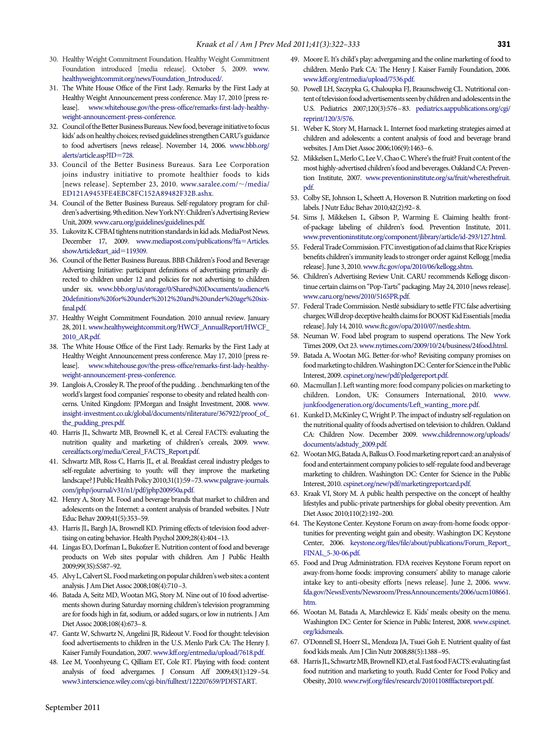- 30. Healthy Weight Commitment Foundation. Healthy Weight Commitment Foundation introduced [media release]. October 5, 2009. [www.](http://www.healthyweightcommit.org/news/Foundation_Introduced/) [healthyweightcommit.org/news/Foundation\\_Introduced/.](http://www.healthyweightcommit.org/news/Foundation_Introduced/)
- 31. The White House Offıce of the First Lady. Remarks by the First Lady at Healthy Weight Announcement press conference. May 17, 2010 [press release]. [www.whitehouse.gov/the-press-offıce/remarks-fırst-lady-healthy](http://www.whitehouse.gov/the-press-office/remarks-first-lady-healthy-weight-announcement-press-conference)[weight-announcement-press-conference.](http://www.whitehouse.gov/the-press-office/remarks-first-lady-healthy-weight-announcement-press-conference)
- 32. Council of the Better Business Bureaus. New food, beverage initiative to focus kids' ads on healthy choices; revised guidelines strengthen CARU's guidance to food advertisers [news release]. November 14, 2006. [www.bbb.org/](http://www.bbb.org/alerts/article.asp?ID=728) [alerts/article.asp?ID](http://www.bbb.org/alerts/article.asp?ID=728)-728.
- 33. Council of the Better Business Bureaus. Sara Lee Corporation joins industry initiative to promote healthier foods to kids [news release]. September 23, 2010. [www.saralee.com/](http://www.saralee.com//media/ED121A9453FE4EBC8FC152A89482F32B.ashx) $\sim$ /media/ [ED121A9453FE4EBC8FC152A89482F32B.ashx.](http://www.saralee.com//media/ED121A9453FE4EBC8FC152A89482F32B.ashx)
- 34. Council of the Better Business Bureaus. Self-regulatory program for children's advertising. 9th edition. New York NY: Children's Advertising Review Unit, 2009[.www.caru.org/guidelines/guidelines.pdf.](http://www.caru.org/guidelines/guidelines.pdf)
- 35. Lukovitz K. CFBAI tightens nutrition standards in kid ads. MediaPost News. December 17, 2009. [www.mediapost.com/publications/?fa](http://www.mediapost.com/publications/?fa=Articles.showArticle%26art_aid=119309)=Articles. [showArticle&art\\_aid](http://www.mediapost.com/publications/?fa=Articles.showArticle%26art_aid=119309)=119309.
- 36. Council of the Better Business Bureaus. BBB Children's Food and Beverage Advertising Initiative: participant defınitions of advertising primarily directed to children under 12 and policies for not advertising to children under six. [www.bbb.org/us/storage/0/Shared%20Documents/audience%](http://www.bbb.org/us/storage/0/Shared%20Documents/audience%20definitions%20for%20under%2012%20and%20under%20age%20six-final.pdf) [20defınitions%20for%20under%2012%20and%20under%20age%20six](http://www.bbb.org/us/storage/0/Shared%20Documents/audience%20definitions%20for%20under%2012%20and%20under%20age%20six-final.pdf)[fınal.pdf.](http://www.bbb.org/us/storage/0/Shared%20Documents/audience%20definitions%20for%20under%2012%20and%20under%20age%20six-final.pdf)
- 37. Healthy Weight Commitment Foundation. 2010 annual review. January 28, 2011. [www.healthyweightcommit.org/HWCF\\_AnnualReport/HWCF\\_](http://www.healthyweightcommit.org/HWCF_AnnualReport/HWCF_2010_AR.pdf) [2010\\_AR.pdf.](http://www.healthyweightcommit.org/HWCF_AnnualReport/HWCF_2010_AR.pdf)
- 38. The White House Offıce of the First Lady. Remarks by the First Lady at Healthy Weight Announcement press conference. May 17, 2010 [press release]. [www.whitehouse.gov/the-press-offıce/remarks-fırst-lady-healthy](http://www.whitehouse.gov/the-press-office/remarks-first-lady-healthy-weight-announcement-press-conference)[weight-announcement-press-conference.](http://www.whitehouse.gov/the-press-office/remarks-first-lady-healthy-weight-announcement-press-conference)
- 39. LangloisA,CrossleyR.The proof of the pudding. . .benchmarking ten of the world's largest food companies' response to obesity and related health concerns. United Kingdom: JPMorgan and Insight Investment, 2008. [www.](http://www.insight-investment.co.uk/global/documents/riliterature/367922/proof_of_the_pudding_pres.pdf) [insight-investment.co.uk/global/documents/riliterature/367922/proof\\_of\\_](http://www.insight-investment.co.uk/global/documents/riliterature/367922/proof_of_the_pudding_pres.pdf) [the\\_pudding\\_pres.pdf.](http://www.insight-investment.co.uk/global/documents/riliterature/367922/proof_of_the_pudding_pres.pdf)
- 40. Harris JL, Schwartz MB, Brownell K, et al. Cereal FACTS: evaluating the nutrition quality and marketing of children's cereals, 2009. [www.](http://www.cerealfacts.org/media/Cereal_FACTS_Report.pdf) [cerealfacts.org/media/Cereal\\_FACTS\\_Report.pdf.](http://www.cerealfacts.org/media/Cereal_FACTS_Report.pdf)
- 41. Schwartz MB, Ross C, Harris JL, et al. Breakfast cereal industry pledges to self-regulate advertising to youth: will they improve the marketing landscape? J Public Health Policy 2010;31(1):59-73. [www.palgrave-journals.](http://www.palgrave-journals.com/jphp/journal/v31/n1/pdf/jphp200950a.pdf) [com/jphp/journal/v31/n1/pdf/jphp200950a.pdf.](http://www.palgrave-journals.com/jphp/journal/v31/n1/pdf/jphp200950a.pdf)
- 42. Henry A, Story M. Food and beverage brands that market to children and adolescents on the Internet: a content analysis of branded websites. J Nutr Educ Behav 2009;41(5):353–59.
- 43. Harris JL, Bargh JA, Brownell KD. Priming effects of television food advertising on eating behavior. Health Psychol 2009;28(4):404–13.
- 44. Lingas EO, Dorfman L, Bukofzer E. Nutrition content of food and beverage products on Web sites popular with children. Am J Public Health 2009;99(3S):S587–92.
- 45. Alvy L, Calvert SL. Food marketing on popular children's web sites: a content analysis. J Am Diet Assoc 2008;108(4):710–3.
- 46. Batada A, Seitz MD, Wootan MG, Story M. Nine out of 10 food advertisements shown during Saturday morning children's television programming are for foods high in fat, sodium, or added sugars, or low in nutrients. J Am Diet Assoc 2008;108(4):673–8.
- 47. Gantz W, Schwartz N, Angelini JR, Rideout V. Food for thought: television food advertisements to children in the U.S. Menlo Park CA: The Henry J. Kaiser Family Foundation, 2007.[www.kff.org/entmedia/upload/7618.pdf.](http://www.kff.org/entmedia/upload/7618.pdf)
- 48. Lee M, Yoonhyeung C, Qilliam ET, Cole RT. Playing with food: content analysis of food advergames. J Consum Aff 2009;43(1):129–54. [www3.interscience.wiley.com/cgi-bin/fulltext/122207659/PDFSTART.](http://www3.interscience.wiley.com/cgi-bin/fulltext/122207659/PDFSTART)
- 49. Moore E. It's child's play: advergaming and the online marketing of food to children. Menlo Park CA: The Henry J. Kaiser Family Foundation, 2006. [www.kff.org/entmedia/upload/7536.pdf.](http://www.kff.org/entmedia/upload/7536.pdf)
- 50. Powell LH, Szczypka G, Chaloupka FJ, Braunschweig CL. Nutritional content of television food advertisements seen by children and adolescents in the U.S. Pediatrics 2007;120(3):576–83. [pediatrics.aappublications.org/cgi/](http://pediatrics.aappublications.org/cgi/reprint/120/3/576) [reprint/120/3/576.](http://pediatrics.aappublications.org/cgi/reprint/120/3/576)
- 51. Weber K, Story M, Harnack L. Internet food marketing strategies aimed at children and adolescents: a content analysis of food and beverage brand websites. J Am Diet Assoc 2006;106(9):1463–6.
- 52. Mikkelsen L,MerloC, Lee V,ChaoC.Where's thefruit? Fruit content of the most highly-advertised children's food and beverages. Oakland CA: Prevention Institute, 2007. [www.preventioninstitute.org/sa/fruit/wheresthefruit.](http://www.preventioninstitute.org/sa/fruit/wheresthefruit.pdf) [pdf.](http://www.preventioninstitute.org/sa/fruit/wheresthefruit.pdf)
- 53. Colby SE, Johnson L, Scheett A, Hoverson B. Nutrition marketing on food labels. J Nutr Educ Behav 2010;42(2):92–8.
- 54. Sims J, Mikkelsen L, Gibson P, Warming E. Claiming health: frontof-package labeling of children's food. Prevention Institute, 2011. [www.preventioninstitute.org/component/jlibrary/article/id-293/127.html.](http://www.preventioninstitute.org/component/jlibrary/article/id-293/127.html)
- 55. Federal Trade Commission. FTC investigation of ad claims that Rice Krispies benefıts children's immunity leads to stronger order against Kellogg [media release]. June 3, 2010.[www.ftc.gov/opa/2010/06/kellogg.shtm.](http://www.ftc.gov/opa/2010/06/kellogg.shtm)
- 56. Children's Advertising Review Unit. CARU recommends Kellogg discontinue certain claims on "Pop-Tarts" packaging.May 24, 2010 [news release]. [www.caru.org/news/2010/5165PR.pdf.](http://www.caru.org/news/2010/5165PR.pdf)
- 57. Federal Trade Commission. Nestlé subsidiary to settle FTC false advertising charges; Will drop deceptive health claims for BOOST Kid Essentials [media release]. July 14, 2010.[www.ftc.gov/opa/2010/07/nestle.shtm.](http://www.ftc.gov/opa/2010/07/nestle.shtm)
- 58. Neuman W. Food label program to suspend operations. The New York Times 2009, Oct 23.[www.nytimes.com/2009/10/24/business/24food.html.](http://www.nytimes.com/2009/10/24/business/24food.html)
- 59. Batada A, Wootan MG. Better-for-who? Revisiting company promises on food marketing to children. Washington DC: Center for Science in the Public Interest, 2009. [cspinet.org/new/pdf/pledgereport.pdf.](http://cspinet.org/new/pdf/pledgereport.pdf)
- 60. Macmullan J. Left wanting more:food company policies on marketing to children. London, UK: Consumers International, 2010. [www.](http://www.junkfoodgeneration.org/documents/Left_wanting_more.pdf) [junkfoodgeneration.org/documents/Left\\_wanting\\_more.pdf.](http://www.junkfoodgeneration.org/documents/Left_wanting_more.pdf)
- 61. Kunkel D,McKinley C,Wright P. The impact of industry self-regulation on the nutritional quality of foods advertised on television to children. Oakland CA: Children Now. December 2009. [www.childrennow.org/uploads/](http://www.childrennow.org/uploads/documents/adstudy_2009.pdf) [documents/adstudy\\_2009.pdf.](http://www.childrennow.org/uploads/documents/adstudy_2009.pdf)
- 62. Wootan MG, Batada A, Balkus O. Food marketing report card: an analysis of food and entertainment company policies to self-regulate food and beverage marketing to children. Washington DC: Center for Science in the Public Interest, 2010. [cspinet.org/new/pdf/marketingreportcard.pdf.](http://cspinet.org/new/pdf/marketingreportcard.pdf)
- 63. Kraak VI, Story M. A public health perspective on the concept of healthy lifestyles and public-private partnerships for global obesity prevention. Am Diet Assoc 2010;110(2):192–200.
- 64. The Keystone Center. Keystone Forum on away-from-home foods: opportunities for preventing weight gain and obesity. Washington DC Keystone Center, 2006. [keystone.org/fıles/fıle/about/publications/Forum\\_Report\\_](http://keystone.org/f%C4%B1les/f%C4%B1le/about/publications/Forum_Report_FINAL_5-30-06.pdf) [FINAL\\_5-30-06.pdf.](http://keystone.org/f%C4%B1les/f%C4%B1le/about/publications/Forum_Report_FINAL_5-30-06.pdf)
- 65. Food and Drug Administration. FDA receives Keystone Forum report on away-from-home foods: improving consumers' ability to manage calorie intake key to anti-obesity efforts [news release]. June 2, 2006. [www.](http://www.fda.gov/NewsEvents/Newsroom/PressAnnouncements/2006/ucm108661.htm) [fda.gov/NewsEvents/Newsroom/PressAnnouncements/2006/ucm108661.](http://www.fda.gov/NewsEvents/Newsroom/PressAnnouncements/2006/ucm108661.htm) [htm.](http://www.fda.gov/NewsEvents/Newsroom/PressAnnouncements/2006/ucm108661.htm)
- 66. Wootan M, Batada A, Marchlewicz E. Kids' meals: obesity on the menu. Washington DC: Center for Science in Public Interest, 2008. [www.cspinet.](http://www.cspinet.org/kidsmeals) [org/kidsmeals.](http://www.cspinet.org/kidsmeals)
- 67. O'Donnell SI, Hoerr SL, Mendoza JA, Tsuei Goh E. Nutrient quality of fast food kids meals. Am J Clin Nutr 2008;88(5):1388–95.
- 68. Harris JL, Schwartz MB, Brownell KD, et al. Fast food FACTS: evaluating fast food nutrition and marketing to youth. Rudd Center for Food Policy and Obesity, 2010[.www.rwjf.org/fıles/research/20101108fffactsreport.pdf.](http://www.rwjf.org/files/research/20101108fffactsreport.pdf)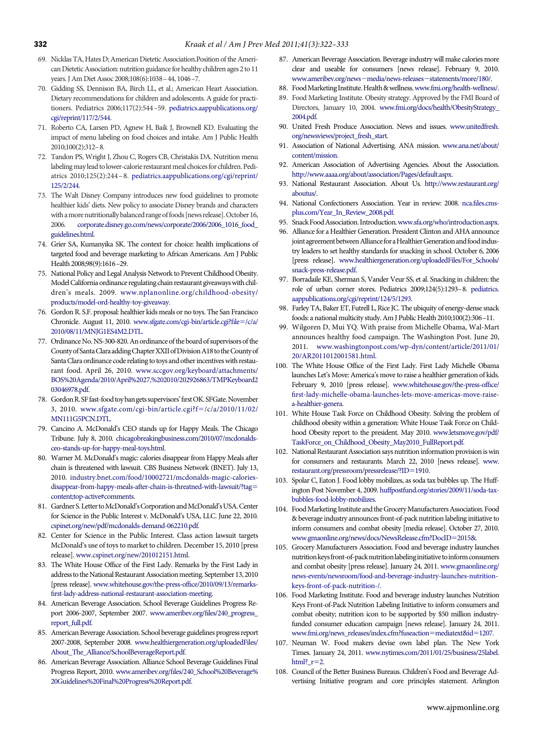- 69. Nicklas TA, Hates D; American Dietetic Association.Position of the American Dietetic Association: nutrition guidance for healthy children ages 2 to 11 years. J Am Diet Assoc 2008;108(6):1038–44, 1046–7.
- 70. Gidding SS, Dennison BA, Birch LL, et al.; American Heart Association. Dietary recommendations for children and adolescents. A guide for practitioners. Pediatrics 2006;117(2):544–59. [pediatrics.aappublications.org/](http://pediatrics.aappublications.org/cgi/reprint/117/2/544) [cgi/reprint/117/2/544.](http://pediatrics.aappublications.org/cgi/reprint/117/2/544)
- 71. Roberto CA, Larsen PD, Agnew H, Baik J, Brownell KD. Evaluating the impact of menu labeling on food choices and intake. Am J Public Health 2010;100(2):312–8.
- 72. Tandon PS, Wright J, Zhou C, Rogers CB, Christakis DA. Nutrition menu labeling may lead to lower-calorie restaurant meal choices for children. Pediatrics 2010;125(2):244 –8. [pediatrics.aappublications.org/cgi/reprint/](http://pediatrics.aappublications.org/cgi/reprint/125/2/244) [125/2/244.](http://pediatrics.aappublications.org/cgi/reprint/125/2/244)
- 73. The Walt Disney Company introduces new food guidelines to promote healthier kids' diets. New policy to associate Disney brands and characters with a more nutritionally balanced range of foods [news release]. October 16, 2006. [corporate.disney.go.com/news/corporate/2006/2006\\_1016\\_food\\_](http://corporate.disney.go.com/news/corporate/2006/2006_1016_food_guidelines.html) [guidelines.html.](http://corporate.disney.go.com/news/corporate/2006/2006_1016_food_guidelines.html)
- 74. Grier SA, Kumanyika SK. The context for choice: health implications of targeted food and beverage marketing to African Americans. Am J Public Health 2008;98(9):1616–29.
- 75. National Policy and Legal Analysis Network to Prevent Childhood Obesity. Model California ordinance regulating chain restaurant giveaways with children's meals. 2009. [www.nplanonline.org/childhood-obesity/](http://www.nplanonline.org/childhood-obesity/products/model-ord-healthy-toy-giveaway) [products/model-ord-healthy-toy-giveaway.](http://www.nplanonline.org/childhood-obesity/products/model-ord-healthy-toy-giveaway)
- 76. Gordon R. S.F. proposal: healthier kids meals or no toys. The San Francisco Chronicle. August 11, 2010. www.sfgate.com/cgi-bin/article.cgi?file=/c/a/ [2010/08/11/MNJG1ES4M2.DTL.](http://www.sfgate.com/cgi-bin/article.cgi?f%C4%B1le=/c/a/2010/08/11/MNJG1ES4M2.DTL)
- 77. Ordinance No. NS-300-820.An ordinance of the board of supervisors of the County of Santa Clara adding Chapter XXII of Division A18 to the County of Santa Clara ordinance code relating to toys and other incentives with restaurant food. April 26, 2010. [www.sccgov.org/keyboard/attachments/](http://www.sccgov.org/keyboard/attachments/BOS%20Agenda/2010/April%2027,%202010/202926863/TMPKeyboard203046978.pdf) [BOS%20Agenda/2010/April%2027,%202010/202926863/TMPKeyboard2](http://www.sccgov.org/keyboard/attachments/BOS%20Agenda/2010/April%2027,%202010/202926863/TMPKeyboard203046978.pdf) [03046978.pdf.](http://www.sccgov.org/keyboard/attachments/BOS%20Agenda/2010/April%2027,%202010/202926863/TMPKeyboard203046978.pdf)
- 78. GordonR.SFfast-food toybangets supervisors'fırstOK.SFGate.November 3, 2010. [www.sfgate.com/cgi-bin/article.cgi?f](http://www.sfgate.com/cgi-bin/article.cgi?f=/c/a/2010/11/02/MN111G5PCN.DTL)=/c/a/2010/11/02/ [MN111G5PCN.DTL.](http://www.sfgate.com/cgi-bin/article.cgi?f=/c/a/2010/11/02/MN111G5PCN.DTL)
- 79. Cancino A. McDonald's CEO stands up for Happy Meals. The Chicago Tribune. July 8, 2010. [chicagobreakingbusiness.com/2010/07/mcdonalds](http://chicagobreakingbusiness.com/2010/07/mcdonalds-ceo-stands-up-for-happy-meal-toys.html)[ceo-stands-up-for-happy-meal-toys.html.](http://chicagobreakingbusiness.com/2010/07/mcdonalds-ceo-stands-up-for-happy-meal-toys.html)
- 80. Warner M. McDonald's magic: calories disappear from Happy Meals after chain is threatened with lawsuit. CBS Business Network (BNET). July 13, 2010. [industry.bnet.com/food/10002721/mcdonalds-magic-calories](http://industry.bnet.com/food/10002721/mcdonalds-magic-calories-disappear-from-happy-meals-after-chain-is-threatned-with-lawsuit/?tag=content%3Btop-active%23comments)[disappear-from-happy-meals-after-chain-is-threatned-with-lawsuit/?tag](http://industry.bnet.com/food/10002721/mcdonalds-magic-calories-disappear-from-happy-meals-after-chain-is-threatned-with-lawsuit/?tag=content%3Btop-active%23comments) [content;top-active#comments.](http://industry.bnet.com/food/10002721/mcdonalds-magic-calories-disappear-from-happy-meals-after-chain-is-threatned-with-lawsuit/?tag=content%3Btop-active%23comments)
- 81. Gardner S. Letter to McDonald's Corporation and McDonald's USA. Center for Science in the Public Interest v. McDonald's USA, LLC. June 22, 2010. [cspinet.org/new/pdf/mcdonalds-demand-062210.pdf.](http://cspinet.org/new/pdf/mcdonalds-demand-062210.pdf)
- 82. Center for Science in the Public Interest. Class action lawsuit targets McDonald's use of toys to market to children. December 15, 2010 [press release]. [www.cspinet.org/new/201012151.html.](http://www.cspinet.org/new/201012151.html)
- 83. The White House Offıce of the First Lady. Remarks by the First Lady in address to the National Restaurant Association meeting. September 13, 2010 [press release]. [www.whitehouse.gov/the-press-offıce/2010/09/13/remarks](http://www.whitehouse.gov/the-press-office/2010/09/13/remarks-first-lady-address-national-restaurant-association-meeting)[fırst-lady-address-national-restaurant-association-meeting.](http://www.whitehouse.gov/the-press-office/2010/09/13/remarks-first-lady-address-national-restaurant-association-meeting)
- 84. American Beverage Association. School Beverage Guidelines Progress Report 2006-2007, September 2007. [www.ameribev.org/fıles/240\\_progress\\_](http://www.ameribev.org/files/240_progress_report_full.pdf) [report\\_full.pdf.](http://www.ameribev.org/files/240_progress_report_full.pdf)
- 85. American Beverage Association. School beverage guidelines progress report 2007-2008, September 2008. [www.healthiergeneration.org/uploadedFiles/](http://www.healthiergeneration.org/uploadedFiles/About_The_Alliance/SchoolBeverageReport.pdf) [About\\_The\\_Alliance/SchoolBeverageReport.pdf.](http://www.healthiergeneration.org/uploadedFiles/About_The_Alliance/SchoolBeverageReport.pdf)
- 86. American Beverage Association. Alliance School Beverage Guidelines Final Progress Report, 2010. [www.ameribev.org/fıles/240\\_School%20Beverage%](http://www.ameribev.org/files/240_School%20Beverage%20Guidelines%20Final%20Progress%20Report.pdf) [20Guidelines%20Final%20Progress%20Report.pdf.](http://www.ameribev.org/files/240_School%20Beverage%20Guidelines%20Final%20Progress%20Report.pdf)
- 87. American Beverage Association. Beverage industry will make calories more clear and useable for consumers [news release]. February 9, 2010. [www.ameribev.org/news](http://www.ameribev.org/news-media/news-releases-statements/more/180/)-media/news-releases-statements/more/180/.
- 88. Food Marketing Institute. Health & wellness. [www.fmi.org/health-wellness/.](http://www.fmi.org/health-wellness/)
- 89. Food Marketing Institute. Obesity strategy. Approved by the FMI Board of Directors, January 10, 2004. [www.fmi.org/docs/health/ObesityStrategy\\_](http://www.fmi.org/docs/health/ObesityStrategy_2004.pdf) [2004.pdf.](http://www.fmi.org/docs/health/ObesityStrategy_2004.pdf)
- 90. United Fresh Produce Association. News and issues. [www.unitedfresh.](http://www.unitedfresh.org/newsviews/project_fresh_start) [org/newsviews/project\\_fresh\\_start.](http://www.unitedfresh.org/newsviews/project_fresh_start)
- 91. Association of National Advertising. ANA mission. [www.ana.net/about/](http://www.ana.net/about/content/mission) [content/mission.](http://www.ana.net/about/content/mission)
- 92. American Association of Advertising Agencies. About the Association. [http://www.aaaa.org/about/association/Pages/default.aspx.](http://www.aaaa.org/about/association/Pages/default.aspx)
- 93. National Restaurant Association. About Us. [http://www.restaurant.org/](http://www.restaurant.org/aboutus/) [aboutus/.](http://www.restaurant.org/aboutus/)
- 94. National Confectioners Association. Year in review: 2008. [nca.fıles.cms](http://nca.f%C4%B1les.cmsplus.com/Year_In_Review_2008.pdf)[plus.com/Year\\_In\\_Review\\_2008.pdf.](http://nca.f%C4%B1les.cmsplus.com/Year_In_Review_2008.pdf)
- 95. Snack Food Association. Introduction. [www.sfa.org/who/introduction.aspx.](http://www.sfa.org/who/introduction.aspx)
- 96. Alliance for a Healthier Generation. President Clinton and AHA announce joint agreement between Alliance for a Healthier Generation and food industry leaders to set healthy standards for snacking in school. October 6, 2006 [press release]. [www.healthiergeneration.org/uploadedFiles/For\\_Schools/](http://www.healthiergeneration.org/uploadedFiles/For_Schools/snack-press-release.pdf) [snack-press-release.pdf.](http://www.healthiergeneration.org/uploadedFiles/For_Schools/snack-press-release.pdf)
- 97. Borradaile KE, Sherman S, Vander Veur SS, et al. Snacking in children: the role of urban corner stores. Pediatrics 2009;124(5):1293–8. [pediatrics.](http://pediatrics.aappublications.org/cgi/reprint/124/5/1293) [aappublications.org/cgi/reprint/124/5/1293.](http://pediatrics.aappublications.org/cgi/reprint/124/5/1293)
- 98. Farley TA, Baker ET, Futrell L, Rice JC. The ubiquity of energy-dense snack foods: a national multicity study. Am J Public Health 2010;100(2):306–11.
- 99. Wilgoren D, Mui YQ. With praise from Michelle Obama, Wal-Mart announces healthy food campaign. The Washington Post. June 20, 2011. [www.washingtonpost.com/wp-dyn/content/article/2011/01/](http://www.washingtonpost.com/wp-dyn/content/article/2011/01/20/AR2011012001581.html) [20/AR2011012001581.html.](http://www.washingtonpost.com/wp-dyn/content/article/2011/01/20/AR2011012001581.html)
- 100. The White House Offıce of the First Lady. First Lady Michelle Obama launches Let's Move: America's move to raise a healthier generation of kids. February 9, 2010 [press release]. [www.whitehouse.gov/the-press-offıce/](http://www.whitehouse.gov/the-press-office/first-lady-michelle-obama-launches-lets-move-americas-move-raise-a-healthier-genera) [fırst-lady-michelle-obama-launches-lets-move-americas-move-raise](http://www.whitehouse.gov/the-press-office/first-lady-michelle-obama-launches-lets-move-americas-move-raise-a-healthier-genera)[a-healthier-genera.](http://www.whitehouse.gov/the-press-office/first-lady-michelle-obama-launches-lets-move-americas-move-raise-a-healthier-genera)
- 101. White House Task Force on Childhood Obesity. Solving the problem of childhood obesity within a generation: White House Task Force on Childhood Obesity report to the president. May 2010. [www.letsmove.gov/pdf/](http://www.letsmove.gov/pdf/TaskForce_on_Childhood_Obesity_May2010_FullReport.pdf) [TaskForce\\_on\\_Childhood\\_Obesity\\_May2010\\_FullReport.pdf.](http://www.letsmove.gov/pdf/TaskForce_on_Childhood_Obesity_May2010_FullReport.pdf)
- 102. National Restaurant Association says nutrition information provision is win for consumers and restaurants. March 22, 2010 [news release]. [www.](http://www.restaurant.org/pressroom/pressrelease/?ID=1910) [restaurant.org/pressroom/pressrelease/?ID](http://www.restaurant.org/pressroom/pressrelease/?ID=1910)-1910.
- 103. Spolar C, Eaton J. Food lobby mobilizes, as soda tax bubbles up. The Huffington Post November 4, 2009. [huffpostfund.org/stories/2009/11/soda-tax](http://huffpostfund.org/stories/2009/11/soda-taxbubbles-food-lobby-mobilizes)[bubbles-food-lobby-mobilizes.](http://huffpostfund.org/stories/2009/11/soda-taxbubbles-food-lobby-mobilizes)
- 104. Food Marketing Institute and the Grocery Manufacturers Association. Food & beverage industry announces front-of-pack nutrition labeling initiative to inform consumers and combat obesity [media release]. October 27, 2010. [www.gmaonline.org/news/docs/NewsRelease.cfm?DocID](http://www.gmaonline.org/news/docs/NewsRelease.cfm?DocID=2015%26)-2015&.
- 105. Grocery Manufacturers Association. Food and beverage industry launches nutrition keys front-of-pack nutrition labeling initiative to inform consumers and combat obesity [press release]. January 24, 2011. [www.gmaonline.org/](http://www.gmaonline.org/news-events/newsroom/food-and-beverage-industry-launches-nutrition-keys-front-of-pack-nutrition-/) [news-events/newsroom/food-and-beverage-industry-launches-nutrition](http://www.gmaonline.org/news-events/newsroom/food-and-beverage-industry-launches-nutrition-keys-front-of-pack-nutrition-/)[keys-front-of-pack-nutrition-/.](http://www.gmaonline.org/news-events/newsroom/food-and-beverage-industry-launches-nutrition-keys-front-of-pack-nutrition-/)
- 106. Food Marketing Institute. Food and beverage industry launches Nutrition Keys Front-of-Pack Nutrition Labeling Initiative to inform consumers and combat obesity; nutrition icon to be supported by \$50 million industryfunded consumer education campaign [news release]. January 24, 2011. [www.fmi.org/news\\_releases/index.cfm?fuseaction](http://www.fmi.org/news_releases/index.cfm?fuseaction=mediatext%26id=1207)=mediatext&id=1207.
- 107. Neuman W. Food makers devise own label plan. The New York Times. January 24, 2011. [www.nytimes.com/2011/01/25/business/25label.](http://www.nytimes.com/2011/01/25/business/25label.html?_r=2)  $html$ ?\_ $r=2$ .
- 108. Council of the Better Business Bureaus. Children's Food and Beverage Advertising Initiative program and core principles statement. Arlington